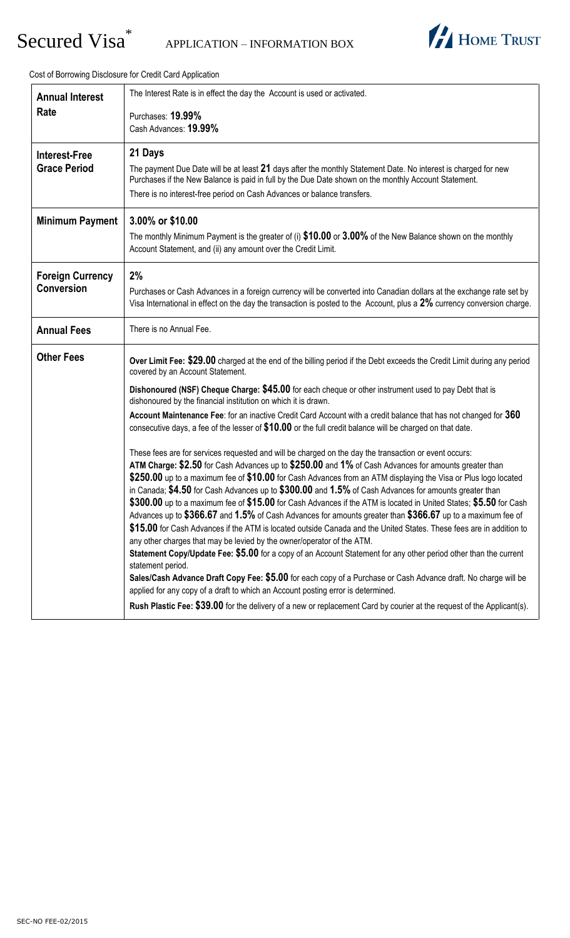# Secured Visa<sup>\*</sup>



Cost of Borrowing Disclosure for Credit Card Application

| <b>Annual Interest</b><br>Rate               | The Interest Rate is in effect the day the Account is used or activated.<br>Purchases: 19.99%<br>Cash Advances: 19.99%                                                                                                                                                                                                                                                                                                                                                                                                                                                                                                                                                                                                                                                                                                                                                                                                                                                                                                                                                                                                                                                                                                                                                                                                                                                                                                                                                                                                                                                                                                                                                                                                                                                                                                                                                                                                                |  |  |  |  |  |
|----------------------------------------------|---------------------------------------------------------------------------------------------------------------------------------------------------------------------------------------------------------------------------------------------------------------------------------------------------------------------------------------------------------------------------------------------------------------------------------------------------------------------------------------------------------------------------------------------------------------------------------------------------------------------------------------------------------------------------------------------------------------------------------------------------------------------------------------------------------------------------------------------------------------------------------------------------------------------------------------------------------------------------------------------------------------------------------------------------------------------------------------------------------------------------------------------------------------------------------------------------------------------------------------------------------------------------------------------------------------------------------------------------------------------------------------------------------------------------------------------------------------------------------------------------------------------------------------------------------------------------------------------------------------------------------------------------------------------------------------------------------------------------------------------------------------------------------------------------------------------------------------------------------------------------------------------------------------------------------------|--|--|--|--|--|
| <b>Interest-Free</b><br><b>Grace Period</b>  | 21 Days<br>The payment Due Date will be at least 21 days after the monthly Statement Date. No interest is charged for new<br>Purchases if the New Balance is paid in full by the Due Date shown on the monthly Account Statement.<br>There is no interest-free period on Cash Advances or balance transfers.                                                                                                                                                                                                                                                                                                                                                                                                                                                                                                                                                                                                                                                                                                                                                                                                                                                                                                                                                                                                                                                                                                                                                                                                                                                                                                                                                                                                                                                                                                                                                                                                                          |  |  |  |  |  |
| <b>Minimum Payment</b>                       | 3.00% or \$10.00<br>The monthly Minimum Payment is the greater of (i) \$10.00 or 3.00% of the New Balance shown on the monthly<br>Account Statement, and (ii) any amount over the Credit Limit.                                                                                                                                                                                                                                                                                                                                                                                                                                                                                                                                                                                                                                                                                                                                                                                                                                                                                                                                                                                                                                                                                                                                                                                                                                                                                                                                                                                                                                                                                                                                                                                                                                                                                                                                       |  |  |  |  |  |
| <b>Foreign Currency</b><br><b>Conversion</b> | 2%<br>Purchases or Cash Advances in a foreign currency will be converted into Canadian dollars at the exchange rate set by<br>Visa International in effect on the day the transaction is posted to the Account, plus a 2% currency conversion charge.                                                                                                                                                                                                                                                                                                                                                                                                                                                                                                                                                                                                                                                                                                                                                                                                                                                                                                                                                                                                                                                                                                                                                                                                                                                                                                                                                                                                                                                                                                                                                                                                                                                                                 |  |  |  |  |  |
| <b>Annual Fees</b>                           | There is no Annual Fee.                                                                                                                                                                                                                                                                                                                                                                                                                                                                                                                                                                                                                                                                                                                                                                                                                                                                                                                                                                                                                                                                                                                                                                                                                                                                                                                                                                                                                                                                                                                                                                                                                                                                                                                                                                                                                                                                                                               |  |  |  |  |  |
| <b>Other Fees</b>                            | Over Limit Fee: \$29.00 charged at the end of the billing period if the Debt exceeds the Credit Limit during any period<br>covered by an Account Statement.<br>Dishonoured (NSF) Cheque Charge: \$45.00 for each cheque or other instrument used to pay Debt that is<br>dishonoured by the financial institution on which it is drawn.<br>Account Maintenance Fee: for an inactive Credit Card Account with a credit balance that has not changed for 360<br>consecutive days, a fee of the lesser of \$10.00 or the full credit balance will be charged on that date.<br>These fees are for services requested and will be charged on the day the transaction or event occurs:<br>ATM Charge: \$2.50 for Cash Advances up to \$250.00 and 1% of Cash Advances for amounts greater than<br>\$250.00 up to a maximum fee of \$10.00 for Cash Advances from an ATM displaying the Visa or Plus logo located<br>in Canada; \$4.50 for Cash Advances up to \$300.00 and 1.5% of Cash Advances for amounts greater than<br>$\$300.00$ up to a maximum fee of $\$15.00$ for Cash Advances if the ATM is located in United States; $\$5.50$ for Cash<br>Advances up to \$366.67 and 1.5% of Cash Advances for amounts greater than \$366.67 up to a maximum fee of<br>\$15.00 for Cash Advances if the ATM is located outside Canada and the United States. These fees are in addition to<br>any other charges that may be levied by the owner/operator of the ATM.<br>Statement Copy/Update Fee: \$5.00 for a copy of an Account Statement for any other period other than the current<br>statement period.<br>Sales/Cash Advance Draft Copy Fee: \$5.00 for each copy of a Purchase or Cash Advance draft. No charge will be<br>applied for any copy of a draft to which an Account posting error is determined.<br>Rush Plastic Fee: \$39.00 for the delivery of a new or replacement Card by courier at the request of the Applicant(s). |  |  |  |  |  |